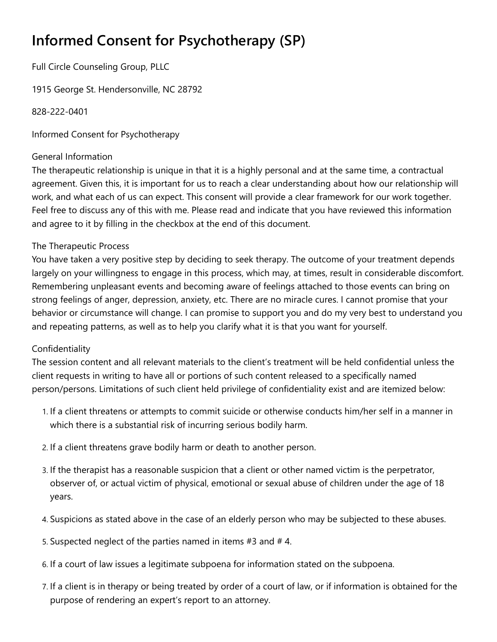## **Informed Consent for Psychotherapy (SP)**

Full Circle Counseling Group, PLLC

1915 George St. Hendersonville, NC 28792

828-222-0401

Informed Consent for Psychotherapy

## General Information

The therapeutic relationship is unique in that it is a highly personal and at the same time, a contractual agreement. Given this, it is important for us to reach a clear understanding about how our relationship will work, and what each of us can expect. This consent will provide a clear framework for our work together. Feel free to discuss any of this with me. Please read and indicate that you have reviewed this information and agree to it by filling in the checkbox at the end of this document.

## The Therapeutic Process

You have taken a very positive step by deciding to seek therapy. The outcome of your treatment depends largely on your willingness to engage in this process, which may, at times, result in considerable discomfort. Remembering unpleasant events and becoming aware of feelings attached to those events can bring on strong feelings of anger, depression, anxiety, etc. There are no miracle cures. I cannot promise that your behavior or circumstance will change. I can promise to support you and do my very best to understand you and repeating patterns, as well as to help you clarify what it is that you want for yourself.

## Confidentiality

The session content and all relevant materials to the client's treatment will be held confidential unless the client requests in writing to have all or portions of such content released to a specifically named person/persons. Limitations of such client held privilege of confidentiality exist and are itemized below:

- 1. If a client threatens or attempts to commit suicide or otherwise conducts him/her self in a manner in which there is a substantial risk of incurring serious bodily harm.
- 2. If a client threatens grave bodily harm or death to another person.
- 3. If the therapist has a reasonable suspicion that a client or other named victim is the perpetrator, observer of, or actual victim of physical, emotional or sexual abuse of children under the age of 18 years.
- 4. Suspicions as stated above in the case of an elderly person who may be subjected to these abuses.
- 5. Suspected neglect of the parties named in items #3 and # 4.
- 6. If a court of law issues a legitimate subpoena for information stated on the subpoena.
- 7. If a client is in therapy or being treated by order of a court of law, or if information is obtained for the purpose of rendering an expert's report to an attorney.